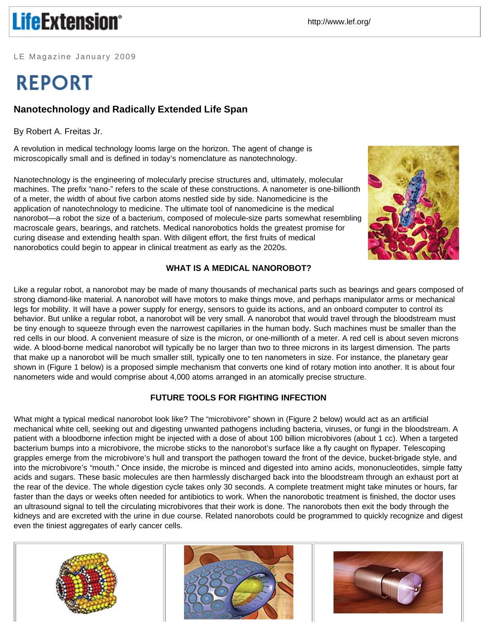# **LifeExtension®**

http://www.lef.org/

LE Magazine January 2009

# **REPORT**

# **Nanotechnology and Radically Extended Life Span**

By Robert A. Freitas Jr.

A revolution in medical technology looms large on the horizon. The agent of change is microscopically small and is defined in today's nomenclature as nanotechnology.



Nanotechnology is the engineering of molecularly precise structures and, ultimately, molecular machines. The prefix "nano-" refers to the scale of these constructions. A nanometer is one-billionth of a meter, the width of about five carbon atoms nestled side by side. Nanomedicine is the application of nanotechnology to medicine. The ultimate tool of nanomedicine is the medical nanorobot—a robot the size of a bacterium, composed of molecule-size parts somewhat resembling macroscale gears, bearings, and ratchets. Medical nanorobotics holds the greatest promise for curing disease and extending health span. With diligent effort, the first fruits of medical nanorobotics could begin to appear in clinical treatment as early as the 2020s.

## **WHAT IS A MEDICAL NANOROBOT?**

Like a regular robot, a nanorobot may be made of many thousands of mechanical parts such as bearings and gears composed of strong diamond-like material. A nanorobot will have motors to make things move, and perhaps manipulator arms or mechanical legs for mobility. It will have a power supply for energy, sensors to guide its actions, and an onboard computer to control its behavior. But unlike a regular robot, a nanorobot will be very small. A nanorobot that would travel through the bloodstream must be tiny enough to squeeze through even the narrowest capillaries in the human body. Such machines must be smaller than the red cells in our blood. A convenient measure of size is the micron, or one-millionth of a meter. A red cell is about seven microns wide. A blood-borne medical nanorobot will typically be no larger than two to three microns in its largest dimension. The parts that make up a nanorobot will be much smaller still, typically one to ten nanometers in size. For instance, the planetary gear shown in (Figure 1 below) is a proposed simple mechanism that converts one kind of rotary motion into another. It is about four nanometers wide and would comprise about 4,000 atoms arranged in an atomically precise structure.

## **FUTURE TOOLS FOR FIGHTING INFECTION**

What might a typical medical nanorobot look like? The "microbivore" shown in (Figure 2 below) would act as an artificial mechanical white cell, seeking out and digesting unwanted pathogens including bacteria, viruses, or fungi in the bloodstream. A patient with a bloodborne infection might be injected with a dose of about 100 billion microbivores (about 1 cc). When a targeted bacterium bumps into a microbivore, the microbe sticks to the nanorobot's surface like a fly caught on flypaper. Telescoping grapples emerge from the microbivore's hull and transport the pathogen toward the front of the device, bucket-brigade style, and into the microbivore's "mouth." Once inside, the microbe is minced and digested into amino acids, mononucleotides, simple fatty acids and sugars. These basic molecules are then harmlessly discharged back into the bloodstream through an exhaust port at the rear of the device. The whole digestion cycle takes only 30 seconds. A complete treatment might take minutes or hours, far faster than the days or weeks often needed for antibiotics to work. When the nanorobotic treatment is finished, the doctor uses an ultrasound signal to tell the circulating microbivores that their work is done. The nanorobots then exit the body through the kidneys and are excreted with the urine in due course. Related nanorobots could be programmed to quickly recognize and digest even the tiniest aggregates of early cancer cells.



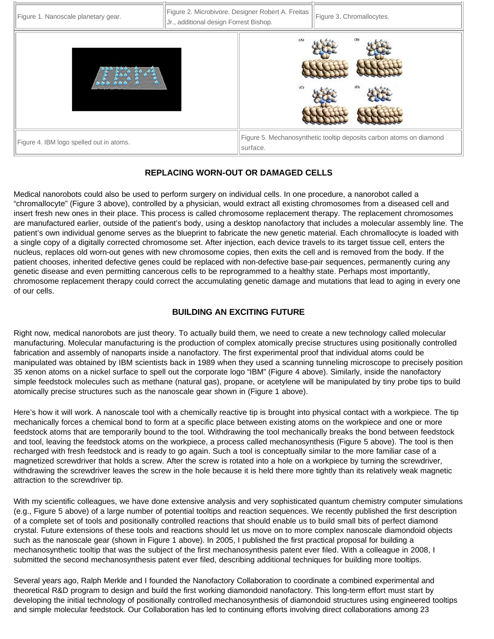

### **REPLACING WORN-OUT OR DAMAGED CELLS**

Medical nanorobots could also be used to perform surgery on individual cells. In one procedure, a nanorobot called a "chromallocyte" (Figure 3 above), controlled by a physician, would extract all existing chromosomes from a diseased cell and insert fresh new ones in their place. This process is called chromosome replacement therapy. The replacement chromosomes are manufactured earlier, outside of the patient's body, using a desktop nanofactory that includes a molecular assembly line. The patient's own individual genome serves as the blueprint to fabricate the new genetic material. Each chromallocyte is loaded with a single copy of a digitally corrected chromosome set. After injection, each device travels to its target tissue cell, enters the nucleus, replaces old worn-out genes with new chromosome copies, then exits the cell and is removed from the body. If the patient chooses, inherited defective genes could be replaced with non-defective base-pair sequences, permanently curing any genetic disease and even permitting cancerous cells to be reprogrammed to a healthy state. Perhaps most importantly, chromosome replacement therapy could correct the accumulating genetic damage and mutations that lead to aging in every one of our cells.

#### **BUILDING AN EXCITING FUTURE**

Right now, medical nanorobots are just theory. To actually build them, we need to create a new technology called molecular manufacturing. Molecular manufacturing is the production of complex atomically precise structures using positionally controlled fabrication and assembly of nanoparts inside a nanofactory. The first experimental proof that individual atoms could be manipulated was obtained by IBM scientists back in 1989 when they used a scanning tunneling microscope to precisely position 35 xenon atoms on a nickel surface to spell out the corporate logo "IBM" (Figure 4 above). Similarly, inside the nanofactory simple feedstock molecules such as methane (natural gas), propane, or acetylene will be manipulated by tiny probe tips to build atomically precise structures such as the nanoscale gear shown in (Figure 1 above).

Here's how it will work. A nanoscale tool with a chemically reactive tip is brought into physical contact with a workpiece. The tip mechanically forces a chemical bond to form at a specific place between existing atoms on the workpiece and one or more feedstock atoms that are temporarily bound to the tool. Withdrawing the tool mechanically breaks the bond between feedstock and tool, leaving the feedstock atoms on the workpiece, a process called mechanosynthesis (Figure 5 above). The tool is then recharged with fresh feedstock and is ready to go again. Such a tool is conceptually similar to the more familiar case of a magnetized screwdriver that holds a screw. After the screw is rotated into a hole on a workpiece by turning the screwdriver, withdrawing the screwdriver leaves the screw in the hole because it is held there more tightly than its relatively weak magnetic attraction to the screwdriver tip.

With my scientific colleagues, we have done extensive analysis and very sophisticated quantum chemistry computer simulations (e.g., Figure 5 above) of a large number of potential tooltips and reaction sequences. We recently published the first description of a complete set of tools and positionally controlled reactions that should enable us to build small bits of perfect diamond crystal. Future extensions of these tools and reactions should let us move on to more complex nanoscale diamondoid objects such as the nanoscale gear (shown in Figure 1 above). In 2005, I published the first practical proposal for building a mechanosynthetic tooltip that was the subject of the first mechanosynthesis patent ever filed. With a colleague in 2008, I submitted the second mechanosynthesis patent ever filed, describing additional techniques for building more tooltips.

Several years ago, Ralph Merkle and I founded the Nanofactory Collaboration to coordinate a combined experimental and theoretical R&D program to design and build the first working diamondoid nanofactory. This long-term effort must start by developing the initial technology of positionally controlled mechanosynthesis of diamondoid structures using engineered tooltips and simple molecular feedstock. Our Collaboration has led to continuing efforts involving direct collaborations among 23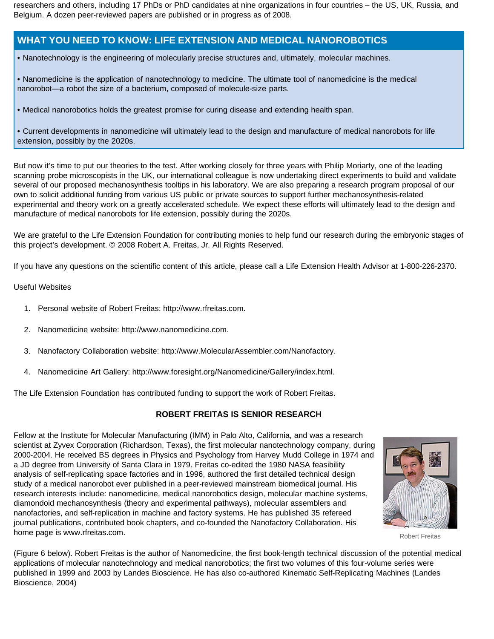researchers and others, including 17 PhDs or PhD candidates at nine organizations in four countries – the US, UK, Russia, and Belgium. A dozen peer-reviewed papers are published or in progress as of 2008.

## **WHAT YOU NEED TO KNOW: LIFE EXTENSION AND MEDICAL NANOROBOTICS**

• Nanotechnology is the engineering of molecularly precise structures and, ultimately, molecular machines.

- Nanomedicine is the application of nanotechnology to medicine. The ultimate tool of nanomedicine is the medical nanorobot—a robot the size of a bacterium, composed of molecule-size parts.
- Medical nanorobotics holds the greatest promise for curing disease and extending health span.

• Current developments in nanomedicine will ultimately lead to the design and manufacture of medical nanorobots for life extension, possibly by the 2020s.

But now it's time to put our theories to the test. After working closely for three years with Philip Moriarty, one of the leading scanning probe microscopists in the UK, our international colleague is now undertaking direct experiments to build and validate several of our proposed mechanosynthesis tooltips in his laboratory. We are also preparing a research program proposal of our own to solicit additional funding from various US public or private sources to support further mechanosynthesis-related experimental and theory work on a greatly accelerated schedule. We expect these efforts will ultimately lead to the design and manufacture of medical nanorobots for life extension, possibly during the 2020s.

We are grateful to the Life Extension Foundation for contributing monies to help fund our research during the embryonic stages of this project's development. © 2008 Robert A. Freitas, Jr. All Rights Reserved.

If you have any questions on the scientific content of this article, please call a Life Extension Health Advisor at 1-800-226-2370.

Useful Websites

- 1. Personal website of Robert Freitas: http://www.rfreitas.com.
- 2. Nanomedicine website: http://www.nanomedicine.com.
- 3. Nanofactory Collaboration website: http://www.MolecularAssembler.com/Nanofactory.
- 4. Nanomedicine Art Gallery: http://www.foresight.org/Nanomedicine/Gallery/index.html.

The Life Extension Foundation has contributed funding to support the work of Robert Freitas.

#### **ROBERT FREITAS IS SENIOR RESEARCH**

Fellow at the Institute for Molecular Manufacturing (IMM) in Palo Alto, California, and was a research scientist at Zyvex Corporation (Richardson, Texas), the first molecular nanotechnology company, during 2000-2004. He received BS degrees in Physics and Psychology from Harvey Mudd College in 1974 and a JD degree from University of Santa Clara in 1979. Freitas co-edited the 1980 NASA feasibility analysis of self-replicating space factories and in 1996, authored the first detailed technical design study of a medical nanorobot ever published in a peer-reviewed mainstream biomedical journal. His research interests include: nanomedicine, medical nanorobotics design, molecular machine systems, diamondoid mechanosynthesis (theory and experimental pathways), molecular assemblers and nanofactories, and self-replication in machine and factory systems. He has published 35 refereed journal publications, contributed book chapters, and co-founded the Nanofactory Collaboration. His home page is www.rfreitas.com.



Robert Freitas

(Figure 6 below). Robert Freitas is the author of Nanomedicine, the first book-length technical discussion of the potential medical applications of molecular nanotechnology and medical nanorobotics; the first two volumes of this four-volume series were published in 1999 and 2003 by Landes Bioscience. He has also co-authored Kinematic Self-Replicating Machines (Landes Bioscience, 2004)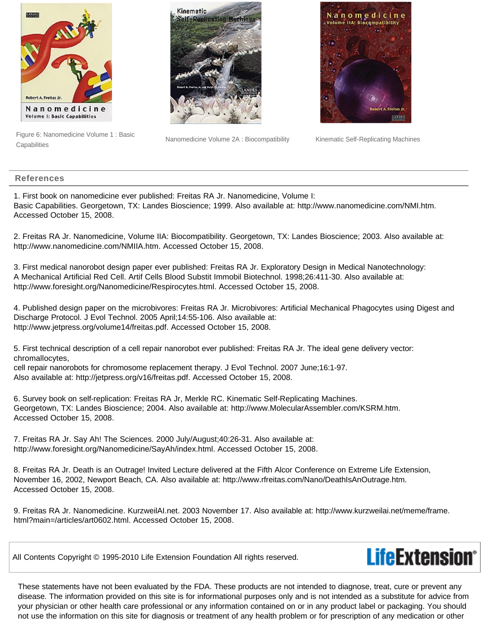

Figure 6: Nanomedicine Volume 1 : Basic **Capabilities** 



Nanomedicine Volume 2A : Biocompatibility Kinematic Self-Replicating Machines



#### **References**

1. First book on nanomedicine ever published: Freitas RA Jr. Nanomedicine, Volume I: Basic Capabilities. Georgetown, TX: Landes Bioscience; 1999. Also available at: http://www.nanomedicine.com/NMI.htm. Accessed October 15, 2008.

2. Freitas RA Jr. Nanomedicine, Volume IIA: Biocompatibility. Georgetown, TX: Landes Bioscience; 2003. Also available at: http://www.nanomedicine.com/NMIIA.htm. Accessed October 15, 2008.

3. First medical nanorobot design paper ever published: Freitas RA Jr. Exploratory Design in Medical Nanotechnology: A Mechanical Artificial Red Cell. Artif Cells Blood Substit Immobil Biotechnol. 1998;26:411-30. Also available at: http://www.foresight.org/Nanomedicine/Respirocytes.html. Accessed October 15, 2008.

4. Published design paper on the microbivores: Freitas RA Jr. Microbivores: Artificial Mechanical Phagocytes using Digest and Discharge Protocol. J Evol Technol. 2005 April;14:55-106. Also available at: http://www.jetpress.org/volume14/freitas.pdf. Accessed October 15, 2008.

5. First technical description of a cell repair nanorobot ever published: Freitas RA Jr. The ideal gene delivery vector: chromallocytes,

cell repair nanorobots for chromosome replacement therapy. J Evol Technol. 2007 June;16:1-97. Also available at: http://jetpress.org/v16/freitas.pdf. Accessed October 15, 2008.

6. Survey book on self-replication: Freitas RA Jr, Merkle RC. Kinematic Self-Replicating Machines. Georgetown, TX: Landes Bioscience; 2004. Also available at: http://www.MolecularAssembler.com/KSRM.htm. Accessed October 15, 2008.

7. Freitas RA Jr. Say Ah! The Sciences. 2000 July/August;40:26-31. Also available at: http://www.foresight.org/Nanomedicine/SayAh/index.html. Accessed October 15, 2008.

8. Freitas RA Jr. Death is an Outrage! Invited Lecture delivered at the Fifth Alcor Conference on Extreme Life Extension, November 16, 2002, Newport Beach, CA. Also available at: http://www.rfreitas.com/Nano/DeathIsAnOutrage.htm. Accessed October 15, 2008.

9. Freitas RA Jr. Nanomedicine. KurzweilAI.net. 2003 November 17. Also available at: http://www.kurzweilai.net/meme/frame. html?main=/articles/art0602.html. Accessed October 15, 2008.

All Contents Copyright © 1995-2010 Life Extension Foundation All rights reserved.



These statements have not been evaluated by the FDA. These products are not intended to diagnose, treat, cure or prevent any disease. The information provided on this site is for informational purposes only and is not intended as a substitute for advice from your physician or other health care professional or any information contained on or in any product label or packaging. You should not use the information on this site for diagnosis or treatment of any health problem or for prescription of any medication or other